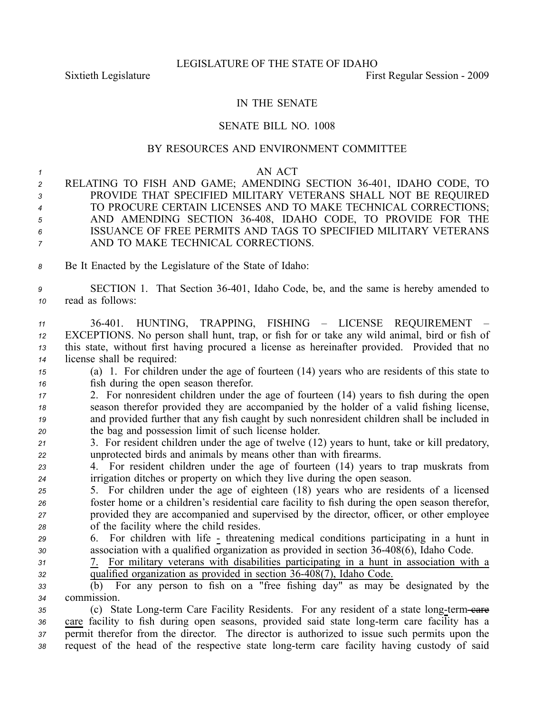## IN THE SENATE

## SENATE BILL NO. 1008

## BY RESOURCES AND ENVIRONMENT COMMITTEE

| 1<br>$\overline{c}$<br>3<br>4<br>5<br>6<br>$\overline{7}$ | AN ACT<br>RELATING TO FISH AND GAME; AMENDING SECTION 36-401, IDAHO CODE, TO<br>PROVIDE THAT SPECIFIED MILITARY VETERANS SHALL NOT BE REQUIRED<br>TO PROCURE CERTAIN LICENSES AND TO MAKE TECHNICAL CORRECTIONS;<br>AND AMENDING SECTION 36-408, IDAHO CODE, TO PROVIDE FOR THE<br>ISSUANCE OF FREE PERMITS AND TAGS TO SPECIFIED MILITARY VETERANS<br>AND TO MAKE TECHNICAL CORRECTIONS. |
|-----------------------------------------------------------|-------------------------------------------------------------------------------------------------------------------------------------------------------------------------------------------------------------------------------------------------------------------------------------------------------------------------------------------------------------------------------------------|
| 8                                                         | Be It Enacted by the Legislature of the State of Idaho:                                                                                                                                                                                                                                                                                                                                   |
| 9<br>10                                                   | SECTION 1. That Section 36-401, Idaho Code, be, and the same is hereby amended to<br>read as follows:                                                                                                                                                                                                                                                                                     |
| 11<br>12<br>13                                            | 36-401. HUNTING, TRAPPING, FISHING - LICENSE REQUIREMENT<br>EXCEPTIONS. No person shall hunt, trap, or fish for or take any wild animal, bird or fish of<br>this state, without first having procured a license as hereinafter provided. Provided that no                                                                                                                                 |
| 14                                                        | license shall be required:                                                                                                                                                                                                                                                                                                                                                                |
| 15<br>16                                                  | (a) 1. For children under the age of fourteen (14) years who are residents of this state to<br>fish during the open season therefor.                                                                                                                                                                                                                                                      |
| 17                                                        | 2. For nonresident children under the age of fourteen (14) years to fish during the open                                                                                                                                                                                                                                                                                                  |
| 18                                                        | season therefor provided they are accompanied by the holder of a valid fishing license,                                                                                                                                                                                                                                                                                                   |
| 19                                                        | and provided further that any fish caught by such nonresident children shall be included in                                                                                                                                                                                                                                                                                               |
| 20                                                        | the bag and possession limit of such license holder.                                                                                                                                                                                                                                                                                                                                      |
| 21                                                        | 3. For resident children under the age of twelve (12) years to hunt, take or kill predatory,                                                                                                                                                                                                                                                                                              |
| 22                                                        | unprotected birds and animals by means other than with firearms.                                                                                                                                                                                                                                                                                                                          |
| 23<br>24                                                  | For resident children under the age of fourteen (14) years to trap muskrats from<br>4.<br>irrigation ditches or property on which they live during the open season.                                                                                                                                                                                                                       |
| 25                                                        | 5. For children under the age of eighteen (18) years who are residents of a licensed                                                                                                                                                                                                                                                                                                      |
| 26                                                        | foster home or a children's residential care facility to fish during the open season therefor,                                                                                                                                                                                                                                                                                            |
| 27                                                        | provided they are accompanied and supervised by the director, officer, or other employee                                                                                                                                                                                                                                                                                                  |
| 28                                                        | of the facility where the child resides.                                                                                                                                                                                                                                                                                                                                                  |
| 29                                                        | 6. For children with life - threatening medical conditions participating in a hunt in                                                                                                                                                                                                                                                                                                     |
| 30                                                        | association with a qualified organization as provided in section 36-408(6), Idaho Code.                                                                                                                                                                                                                                                                                                   |
| 31                                                        | For military veterans with disabilities participating in a hunt in association with a<br>7.                                                                                                                                                                                                                                                                                               |
| 32                                                        | qualified organization as provided in section 36-408(7), Idaho Code.                                                                                                                                                                                                                                                                                                                      |
| 33                                                        | $\overline{b}$ (b) For any person to fish on a "free fishing day" as may be designated by the                                                                                                                                                                                                                                                                                             |
| 34                                                        | commission.                                                                                                                                                                                                                                                                                                                                                                               |
| 35                                                        | (c) State Long-term Care Facility Residents. For any resident of a state long-term-eare<br>$\cdots$                                                                                                                                                                                                                                                                                       |

36 care facility to fish during open seasons, provided said state long-term care facility has a *<sup>37</sup>* permit therefor from the director. The director is authorized to issue such permits upon the <sup>38</sup> request of the head of the respective state long-term care facility having custody of said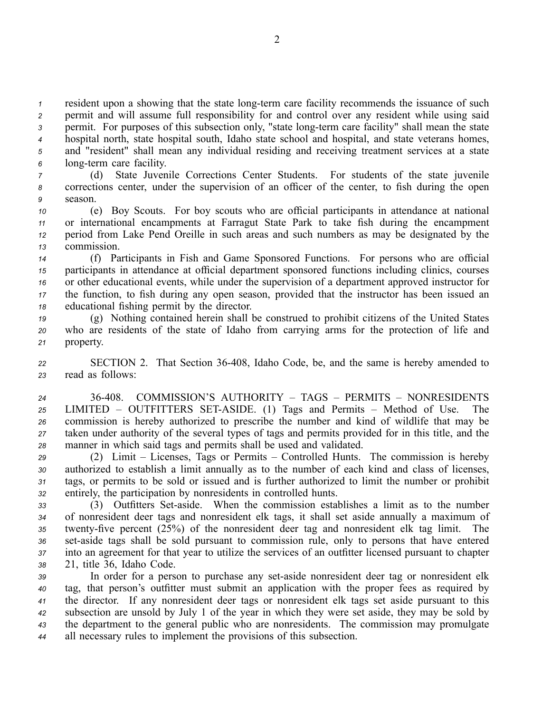resident upon a showing that the state long-term care facility recommends the issuance of such permit and will assume full responsibility for and control over any resident while using said permit. For purposes of this subsection only, "state long-term care facility" shall mean the state hospital north, state hospital south, Idaho state school and hospital, and state veterans homes, and "resident" shall mean any individual residing and receiving treatment services at <sup>a</sup> state long-term care facility.

*<sup>7</sup>* (d) State Juvenile Corrections Center Students. For students of the state juvenile *<sup>8</sup>* corrections center, under the supervision of an officer of the center, to fish during the open *9* season.

 (e) Boy Scouts. For boy scouts who are official participants in attendance at national or international encampments at Farragut State Park to take fish during the encampmen<sup>t</sup> period from Lake Pend Oreille in such areas and such numbers as may be designated by the commission.

 (f) Participants in Fish and Game Sponsored Functions. For persons who are official participants in attendance at official department sponsored functions including clinics, courses or other educational events, while under the supervision of <sup>a</sup> department approved instructor for the function, to fish during any open season, provided that the instructor has been issued an educational fishing permit by the director.

*<sup>19</sup>* (g) Nothing contained herein shall be construed to prohibit citizens of the United States *<sup>20</sup>* who are residents of the state of Idaho from carrying arms for the protection of life and *<sup>21</sup>* property.

*<sup>22</sup>* SECTION 2. That Section 36408, Idaho Code, be, and the same is hereby amended to *<sup>23</sup>* read as follows:

 36408. COMMISSION'S AUTHORITY – TAGS – PERMITS – NONRESIDENTS LIMITED – OUTFITTERS SETASIDE. (1) Tags and Permits – Method of Use. The commission is hereby authorized to prescribe the number and kind of wildlife that may be taken under authority of the several types of tags and permits provided for in this title, and the manner in which said tags and permits shall be used and validated.

 (2) Limit – Licenses, Tags or Permits – Controlled Hunts. The commission is hereby authorized to establish <sup>a</sup> limit annually as to the number of each kind and class of licenses, tags, or permits to be sold or issued and is further authorized to limit the number or prohibit entirely, the participation by nonresidents in controlled hunts.

33 (3) Outfitters Set-aside. When the commission establishes a limit as to the number *<sup>34</sup>* of nonresident deer tags and nonresident elk tags, it shall set aside annually <sup>a</sup> maximum of 35 twenty-five percent (25%) of the nonresident deer tag and nonresident elk tag limit. The 36 set-aside tags shall be sold pursuant to commission rule, only to persons that have entered *<sup>37</sup>* into an agreemen<sup>t</sup> for that year to utilize the services of an outfitter licensed pursuan<sup>t</sup> to chapter *<sup>38</sup>* 21, title 36, Idaho Code.

 In order for <sup>a</sup> person to purchase any setaside nonresident deer tag or nonresident elk tag, that person's outfitter must submit an application with the proper fees as required by the director. If any nonresident deer tags or nonresident elk tags set aside pursuan<sup>t</sup> to this subsection are unsold by July 1 of the year in which they were set aside, they may be sold by the department to the general public who are nonresidents. The commission may promulgate all necessary rules to implement the provisions of this subsection.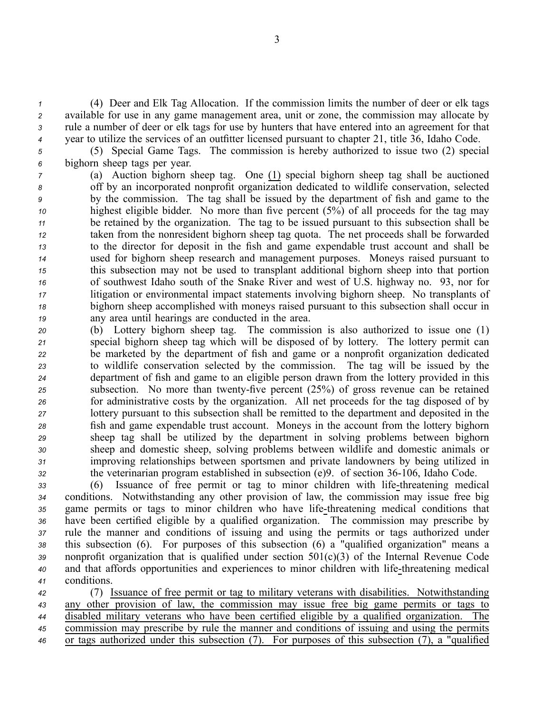(4) Deer and Elk Tag Allocation. If the commission limits the number of deer or elk tags available for use in any game managemen<sup>t</sup> area, unit or zone, the commission may allocate by rule <sup>a</sup> number of deer or elk tags for use by hunters that have entered into an agreemen<sup>t</sup> for that year to utilize the services of an outfitter licensed pursuan<sup>t</sup> to chapter 21, title 36, Idaho Code.

*<sup>5</sup>* (5) Special Game Tags. The commission is hereby authorized to issue two (2) special *<sup>6</sup>* bighorn sheep tags per year.

 (a) Auction bighorn sheep tag. One (1) special bighorn sheep tag shall be auctioned off by an incorporated nonprofit organization dedicated to wildlife conservation, selected by the commission. The tag shall be issued by the department of fish and game to the highest eligible bidder. No more than five percen<sup>t</sup> (5%) of all proceeds for the tag may be retained by the organization. The tag to be issued pursuan<sup>t</sup> to this subsection shall be taken from the nonresident bighorn sheep tag quota. The net proceeds shall be forwarded to the director for deposit in the fish and game expendable trust account and shall be used for bighorn sheep research and managemen<sup>t</sup> purposes. Moneys raised pursuan<sup>t</sup> to this subsection may not be used to transplant additional bighorn sheep into that portion of southwest Idaho south of the Snake River and west of U.S. highway no. 93, nor for litigation or environmental impact statements involving bighorn sheep. No transplants of bighorn sheep accomplished with moneys raised pursuan<sup>t</sup> to this subsection shall occur in any area until hearings are conducted in the area.

 (b) Lottery bighorn sheep tag. The commission is also authorized to issue one (1) special bighorn sheep tag which will be disposed of by lottery. The lottery permit can be marketed by the department of fish and game or <sup>a</sup> nonprofit organization dedicated to wildlife conservation selected by the commission. The tag will be issued by the department of fish and game to an eligible person drawn from the lottery provided in this <sup>25</sup> subsection. No more than twenty-five percent (25%) of gross revenue can be retained for administrative costs by the organization. All net proceeds for the tag disposed of by lottery pursuan<sup>t</sup> to this subsection shall be remitted to the department and deposited in the fish and game expendable trust account. Moneys in the account from the lottery bighorn sheep tag shall be utilized by the department in solving problems between bighorn sheep and domestic sheep, solving problems between wildlife and domestic animals or improving relationships between sportsmen and private landowners by being utilized in the veterinarian program established in subsection (e)9. of section 36106, Idaho Code.

33 (6) Issuance of free permit or tag to minor children with life-threatening medical conditions. Notwithstanding any other provision of law, the commission may issue free big game permits or tags to minor children who have life-threatening medical conditions that have been certified eligible by <sup>a</sup> qualified organization. The commission may prescribe by rule the manner and conditions of issuing and using the permits or tags authorized under this subsection (6). For purposes of this subsection (6) <sup>a</sup> "qualified organization" means <sup>a</sup> nonprofit organization that is qualified under section 501(c)(3) of the Internal Revenue Code and that affords opportunities and experiences to minor children with lifethreatening medical conditions.

 (7) Issuance of free permit or tag to military veterans with disabilities. Notwithstanding any other provision of law, the commission may issue free big game permits or tags to disabled military veterans who have been certified eligible by <sup>a</sup> qualified organization. The commission may prescribe by rule the manner and conditions of issuing and using the permits or tags authorized under this subsection (7). For purposes of this subsection (7), <sup>a</sup> "qualified